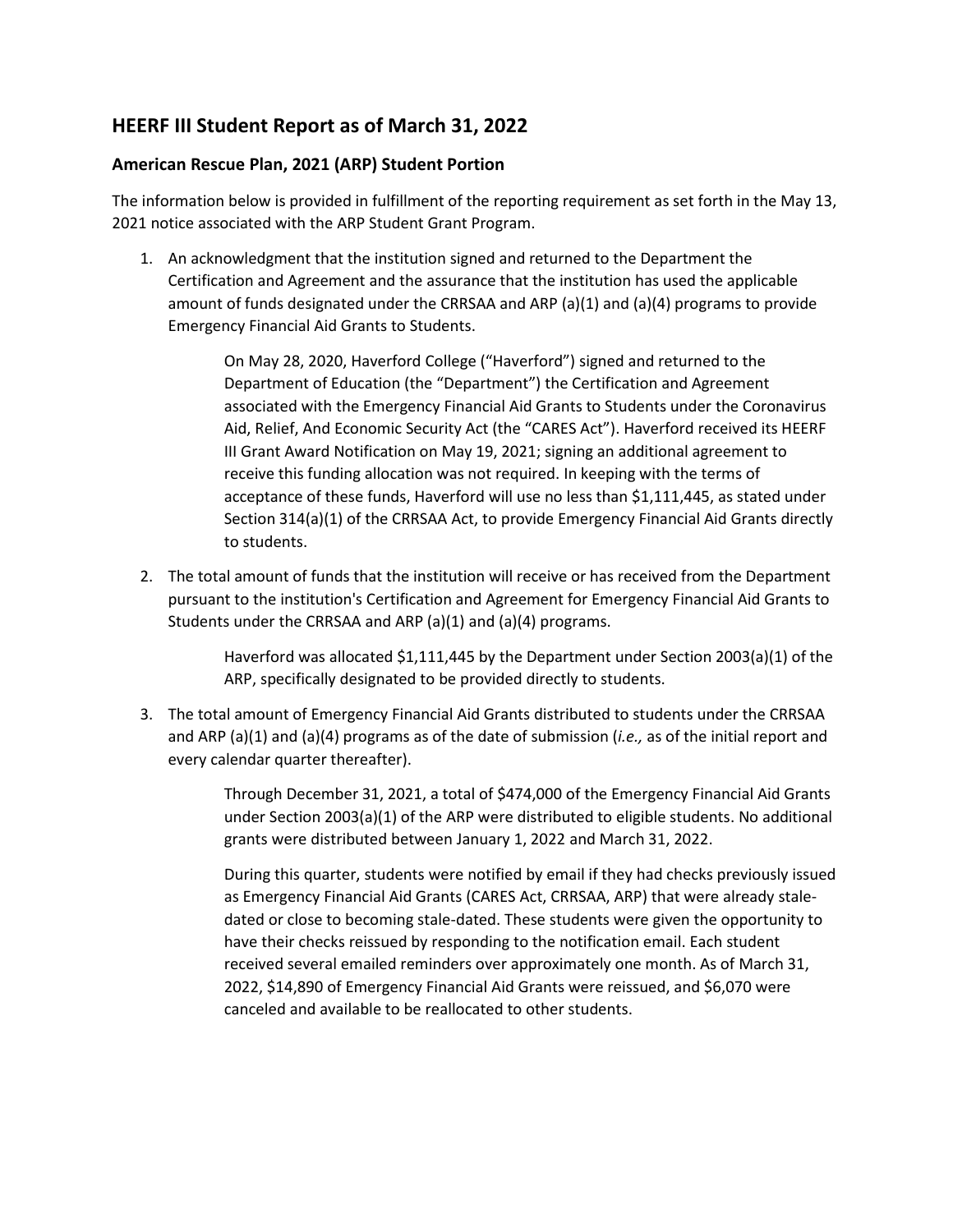## **HEERF III Student Report as of March 31, 2022**

## **American Rescue Plan, 2021 (ARP) Student Portion**

The information below is provided in fulfillment of the reporting requirement as set forth in the May 13, 2021 notice associated with the ARP Student Grant Program.

1. An acknowledgment that the institution signed and returned to the Department the Certification and Agreement and the assurance that the institution has used the applicable amount of funds designated under the CRRSAA and ARP (a)(1) and (a)(4) programs to provide Emergency Financial Aid Grants to Students.

> On May 28, 2020, Haverford College ("Haverford") signed and returned to the Department of Education (the "Department") the Certification and Agreement associated with the Emergency Financial Aid Grants to Students under the Coronavirus Aid, Relief, And Economic Security Act (the "CARES Act"). Haverford received its HEERF III Grant Award Notification on May 19, 2021; signing an additional agreement to receive this funding allocation was not required. In keeping with the terms of acceptance of these funds, Haverford will use no less than \$1,111,445, as stated under Section 314(a)(1) of the CRRSAA Act, to provide Emergency Financial Aid Grants directly to students.

2. The total amount of funds that the institution will receive or has received from the Department pursuant to the institution's Certification and Agreement for Emergency Financial Aid Grants to Students under the CRRSAA and ARP (a)(1) and (a)(4) programs.

> Haverford was allocated \$1,111,445 by the Department under Section 2003(a)(1) of the ARP, specifically designated to be provided directly to students.

3. The total amount of Emergency Financial Aid Grants distributed to students under the CRRSAA and ARP (a)(1) and (a)(4) programs as of the date of submission (*i.e.,* as of the initial report and every calendar quarter thereafter).

> Through December 31, 2021, a total of \$474,000 of the Emergency Financial Aid Grants under Section 2003(a)(1) of the ARP were distributed to eligible students. No additional grants were distributed between January 1, 2022 and March 31, 2022.

> During this quarter, students were notified by email if they had checks previously issued as Emergency Financial Aid Grants (CARES Act, CRRSAA, ARP) that were already staledated or close to becoming stale-dated. These students were given the opportunity to have their checks reissued by responding to the notification email. Each student received several emailed reminders over approximately one month. As of March 31, 2022, \$14,890 of Emergency Financial Aid Grants were reissued, and \$6,070 were canceled and available to be reallocated to other students.